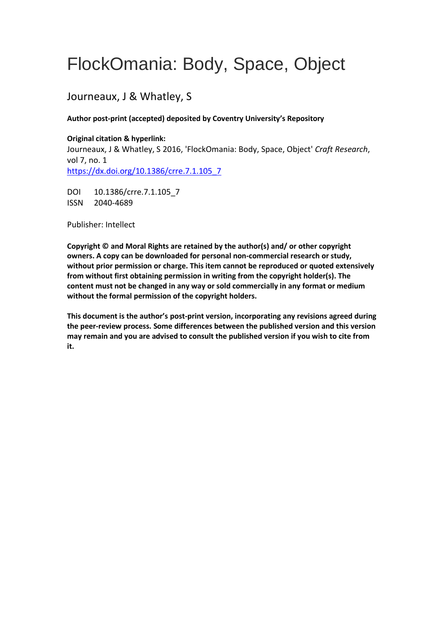# FlockOmania: Body, Space, Object

## Journeaux, J & Whatley, S

#### **Author post-print (accepted) deposited by Coventry University's Repository**

#### **Original citation & hyperlink:**

Journeaux, J & Whatley, S 2016, 'FlockOmania: Body, Space, Object' *Craft Research*, vol 7, no. 1 [https://dx.doi.org/10.1386/crre.7.1.105\\_7](https://dx.doi.org/10.1386/crre.7.1.105_7)

DOI 10.1386/crre.7.1.105 7 ISSN 2040-4689

Publisher: Intellect

**Copyright © and Moral Rights are retained by the author(s) and/ or other copyright owners. A copy can be downloaded for personal non-commercial research or study, without prior permission or charge. This item cannot be reproduced or quoted extensively from without first obtaining permission in writing from the copyright holder(s). The content must not be changed in any way or sold commercially in any format or medium without the formal permission of the copyright holders.** 

**This document is the author's post-print version, incorporating any revisions agreed during the peer-review process. Some differences between the published version and this version may remain and you are advised to consult the published version if you wish to cite from it.**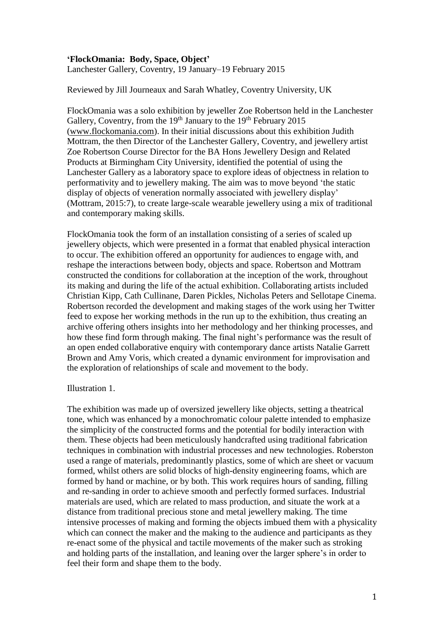#### **'FlockOmania: Body, Space, Object'**

Lanchester Gallery, Coventry, 19 January–19 February 2015

#### Reviewed by Jill Journeaux and Sarah Whatley, Coventry University, UK

FlockOmania was a solo exhibition by jeweller Zoe Robertson held in the Lanchester Gallery, Coventry, from the  $19<sup>th</sup>$  January to the  $19<sup>th</sup>$  February 2015 [\(www.flockomania.com\)](http://www.flockomania.com/). In their initial discussions about this exhibition Judith Mottram, the then Director of the Lanchester Gallery, Coventry, and jewellery artist Zoe Robertson Course Director for the BA Hons Jewellery Design and Related Products at Birmingham City University, identified the potential of using the Lanchester Gallery as a laboratory space to explore ideas of objectness in relation to performativity and to jewellery making. The aim was to move beyond 'the static display of objects of veneration normally associated with jewellery display' (Mottram, 2015:7), to create large-scale wearable jewellery using a mix of traditional and contemporary making skills.

FlockOmania took the form of an installation consisting of a series of scaled up jewellery objects, which were presented in a format that enabled physical interaction to occur. The exhibition offered an opportunity for audiences to engage with, and reshape the interactions between body, objects and space. Robertson and Mottram constructed the conditions for collaboration at the inception of the work, throughout its making and during the life of the actual exhibition. Collaborating artists included Christian Kipp, Cath Cullinane, Daren Pickles, Nicholas Peters and Sellotape Cinema. Robertson recorded the development and making stages of the work using her Twitter feed to expose her working methods in the run up to the exhibition, thus creating an archive offering others insights into her methodology and her thinking processes, and how these find form through making. The final night's performance was the result of an open ended collaborative enquiry with contemporary dance artists Natalie Garrett Brown and Amy Voris, which created a dynamic environment for improvisation and the exploration of relationships of scale and movement to the body.

#### Illustration 1.

The exhibition was made up of oversized jewellery like objects, setting a theatrical tone, which was enhanced by a monochromatic colour palette intended to emphasize the simplicity of the constructed forms and the potential for bodily interaction with them. These objects had been meticulously handcrafted using traditional fabrication techniques in combination with industrial processes and new technologies. Roberston used a range of materials, predominantly plastics, some of which are sheet or vacuum formed, whilst others are solid blocks of high-density engineering foams, which are formed by hand or machine, or by both. This work requires hours of sanding, filling and re-sanding in order to achieve smooth and perfectly formed surfaces. Industrial materials are used, which are related to mass production, and situate the work at a distance from traditional precious stone and metal jewellery making. The time intensive processes of making and forming the objects imbued them with a physicality which can connect the maker and the making to the audience and participants as they re-enact some of the physical and tactile movements of the maker such as stroking and holding parts of the installation, and leaning over the larger sphere's in order to feel their form and shape them to the body.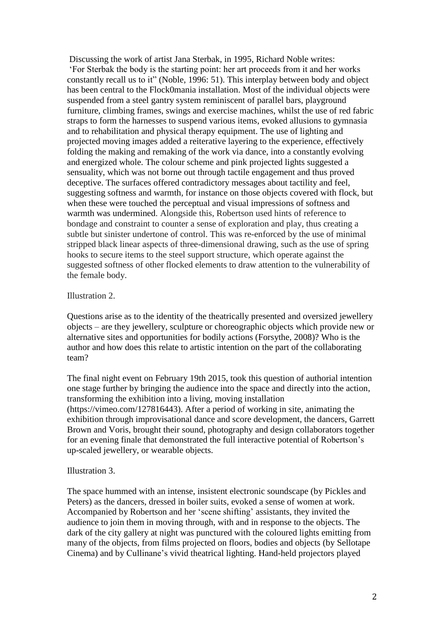Discussing the work of artist Jana Sterbak, in 1995, Richard Noble writes: 'For Sterbak the body is the starting point: her art proceeds from it and her works constantly recall us to it" (Noble, 1996: 51). This interplay between body and object has been central to the Flock0mania installation. Most of the individual objects were suspended from a steel gantry system reminiscent of parallel bars, playground furniture, climbing frames, swings and exercise machines, whilst the use of red fabric straps to form the harnesses to suspend various items, evoked allusions to gymnasia and to rehabilitation and physical therapy equipment. The use of lighting and projected moving images added a reiterative layering to the experience, effectively folding the making and remaking of the work via dance, into a constantly evolving and energized whole. The colour scheme and pink projected lights suggested a sensuality, which was not borne out through tactile engagement and thus proved deceptive. The surfaces offered contradictory messages about tactility and feel, suggesting softness and warmth, for instance on those objects covered with flock, but when these were touched the perceptual and visual impressions of softness and warmth was undermined. Alongside this, Robertson used hints of reference to bondage and constraint to counter a sense of exploration and play, thus creating a subtle but sinister undertone of control. This was re-enforced by the use of minimal stripped black linear aspects of three-dimensional drawing, such as the use of spring hooks to secure items to the steel support structure, which operate against the suggested softness of other flocked elements to draw attention to the vulnerability of the female body.

#### Illustration 2.

Questions arise as to the identity of the theatrically presented and oversized jewellery objects – are they jewellery, sculpture or choreographic objects which provide new or alternative sites and opportunities for bodily actions (Forsythe, 2008)? Who is the author and how does this relate to artistic intention on the part of the collaborating team?

The final night event on February 19th 2015, took this question of authorial intention one stage further by bringing the audience into the space and directly into the action, transforming the exhibition into a living, moving installation (https://vimeo.com/127816443). After a period of working in site, animating the exhibition through improvisational dance and score development, the dancers, Garrett Brown and Voris, brought their sound, photography and design collaborators together for an evening finale that demonstrated the full interactive potential of Robertson's up-scaled jewellery, or wearable objects.

#### Illustration 3.

The space hummed with an intense, insistent electronic soundscape (by Pickles and Peters) as the dancers, dressed in boiler suits, evoked a sense of women at work. Accompanied by Robertson and her 'scene shifting' assistants, they invited the audience to join them in moving through, with and in response to the objects. The dark of the city gallery at night was punctured with the coloured lights emitting from many of the objects, from films projected on floors, bodies and objects (by Sellotape Cinema) and by Cullinane's vivid theatrical lighting. Hand-held projectors played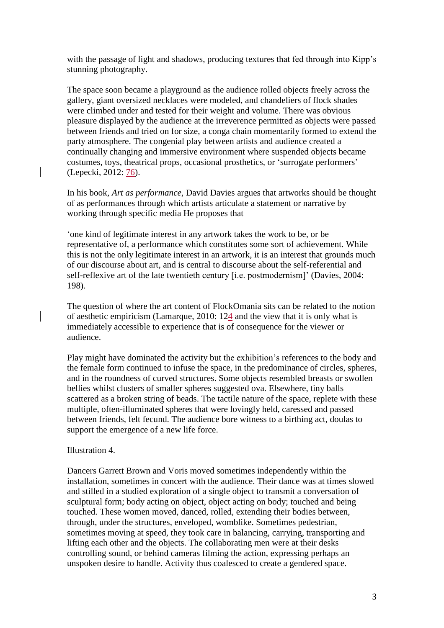with the passage of light and shadows, producing textures that fed through into Kipp's stunning photography.

The space soon became a playground as the audience rolled objects freely across the gallery, giant oversized necklaces were modeled, and chandeliers of flock shades were climbed under and tested for their weight and volume. There was obvious pleasure displayed by the audience at the irreverence permitted as objects were passed between friends and tried on for size, a conga chain momentarily formed to extend the party atmosphere. The congenial play between artists and audience created a continually changing and immersive environment where suspended objects became costumes, toys, theatrical props, occasional prosthetics, or 'surrogate performers' (Lepecki, 2012: 76).

In his book, *Art as performance*, David Davies argues that artworks should be thought of as performances through which artists articulate a statement or narrative by working through specific media He proposes that

'one kind of legitimate interest in any artwork takes the work to be, or be representative of, a performance which constitutes some sort of achievement. While this is not the only legitimate interest in an artwork, it is an interest that grounds much of our discourse about art, and is central to discourse about the self-referential and self-reflexive art of the late twentieth century [i.e. postmodernism]' (Davies, 2004: 198).

The question of where the art content of FlockOmania sits can be related to the notion of aesthetic empiricism (Lamarque, 2010: 124 and the view that it is only what is immediately accessible to experience that is of consequence for the viewer or audience.

Play might have dominated the activity but the exhibition's references to the body and the female form continued to infuse the space, in the predominance of circles, spheres, and in the roundness of curved structures. Some objects resembled breasts or swollen bellies whilst clusters of smaller spheres suggested ova. Elsewhere, tiny balls scattered as a broken string of beads. The tactile nature of the space, replete with these multiple, often-illuminated spheres that were lovingly held, caressed and passed between friends, felt fecund. The audience bore witness to a birthing act, doulas to support the emergence of a new life force.

#### Illustration 4.

Dancers Garrett Brown and Voris moved sometimes independently within the installation, sometimes in concert with the audience. Their dance was at times slowed and stilled in a studied exploration of a single object to transmit a conversation of sculptural form; body acting on object, object acting on body; touched and being touched. These women moved, danced, rolled, extending their bodies between, through, under the structures, enveloped, womblike. Sometimes pedestrian, sometimes moving at speed, they took care in balancing, carrying, transporting and lifting each other and the objects. The collaborating men were at their desks controlling sound, or behind cameras filming the action, expressing perhaps an unspoken desire to handle. Activity thus coalesced to create a gendered space.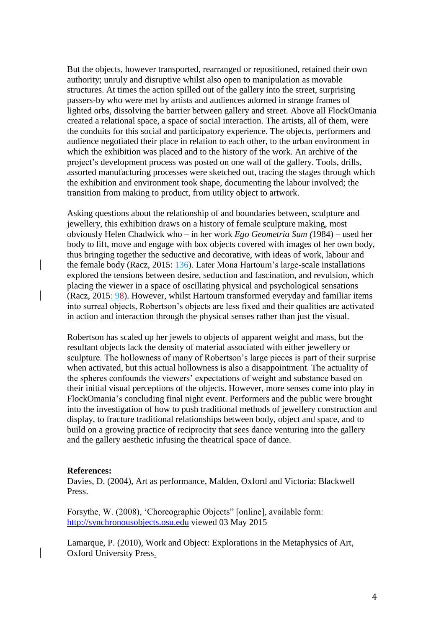But the objects, however transported, rearranged or repositioned, retained their own authority; unruly and disruptive whilst also open to manipulation as movable structures. At times the action spilled out of the gallery into the street, surprising passers-by who were met by artists and audiences adorned in strange frames of lighted orbs, dissolving the barrier between gallery and street. Above all FlockOmania created a relational space, a space of social interaction. The artists, all of them, were the conduits for this social and participatory experience. The objects, performers and audience negotiated their place in relation to each other, to the urban environment in which the exhibition was placed and to the history of the work. An archive of the project's development process was posted on one wall of the gallery. Tools, drills, assorted manufacturing processes were sketched out, tracing the stages through which the exhibition and environment took shape, documenting the labour involved; the transition from making to product, from utility object to artwork.

Asking questions about the relationship of and boundaries between, sculpture and jewellery, this exhibition draws on a history of female sculpture making, most obviously Helen Chadwick who – in her work *Ego Geometria Sum (*1984) *–* used her body to lift, move and engage with box objects covered with images of her own body, thus bringing together the seductive and decorative, with ideas of work, labour and the female body (Racz, 2015: 136). Later Mona Hartoum's large-scale installations explored the tensions between desire, seduction and fascination, and revulsion, which placing the viewer in a space of oscillating physical and psychological sensations (Racz, 2015: 98). However, whilst Hartoum transformed everyday and familiar items into surreal objects, Robertson's objects are less fixed and their qualities are activated in action and interaction through the physical senses rather than just the visual.

Robertson has scaled up her jewels to objects of apparent weight and mass, but the resultant objects lack the density of material associated with either jewellery or sculpture. The hollowness of many of Robertson's large pieces is part of their surprise when activated, but this actual hollowness is also a disappointment. The actuality of the spheres confounds the viewers' expectations of weight and substance based on their initial visual perceptions of the objects. However, more senses come into play in FlockOmania's concluding final night event. Performers and the public were brought into the investigation of how to push traditional methods of jewellery construction and display, to fracture traditional relationships between body, object and space, and to build on a growing practice of reciprocity that sees dance venturing into the gallery and the gallery aesthetic infusing the theatrical space of dance.

#### **References:**

Davies, D. (2004), Art as performance, Malden, Oxford and Victoria: Blackwell Press.

Forsythe, W. (2008), 'Choreographic Objects" [online], available form: [http://synchronousobjects.osu.edu](http://synchronousobjects.osu.edu/) viewed 03 May 2015

Lamarque, P. (2010), Work and Object: Explorations in the Metaphysics of Art, Oxford University Press.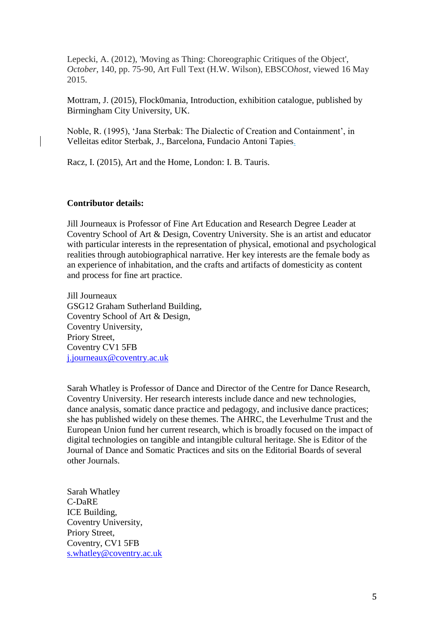Lepecki, A. (2012), 'Moving as Thing: Choreographic Critiques of the Object', *October*, 140, pp. 75-90, Art Full Text (H.W. Wilson), EBSCO*host*, viewed 16 May 2015.

Mottram, J. (2015), Flock0mania, Introduction, exhibition catalogue, published by Birmingham City University, UK.

Noble, R. (1995), 'Jana Sterbak: The Dialectic of Creation and Containment', in Velleitas editor Sterbak, J., Barcelona, Fundacio Antoni Tapies.

Racz, I. (2015), Art and the Home, London: I. B. Tauris.

#### **Contributor details:**

Jill Journeaux is Professor of Fine Art Education and Research Degree Leader at Coventry School of Art & Design, Coventry University. She is an artist and educator with particular interests in the representation of physical, emotional and psychological realities through autobiographical narrative. Her key interests are the female body as an experience of inhabitation, and the crafts and artifacts of domesticity as content and process for fine art practice.

Jill Journeaux GSG12 Graham Sutherland Building, Coventry School of Art & Design, Coventry University, Priory Street, Coventry CV1 5FB [j.journeaux@coventry.ac.uk](mailto:j.journeaux@coventry.ac.uk)

Sarah Whatley is Professor of Dance and Director of the Centre for Dance Research, Coventry University. Her research interests include dance and new technologies, dance analysis, somatic dance practice and pedagogy, and inclusive dance practices; she has published widely on these themes. The AHRC, the Leverhulme Trust and the European Union fund her current research, which is broadly focused on the impact of digital technologies on tangible and intangible cultural heritage. She is Editor of the Journal of Dance and Somatic Practices and sits on the Editorial Boards of several other Journals.

Sarah Whatley C-DaRE ICE Building, Coventry University, Priory Street, Coventry, CV1 5FB [s.whatley@coventry.ac.uk](mailto:s.whatley@coventry.ac.uk)